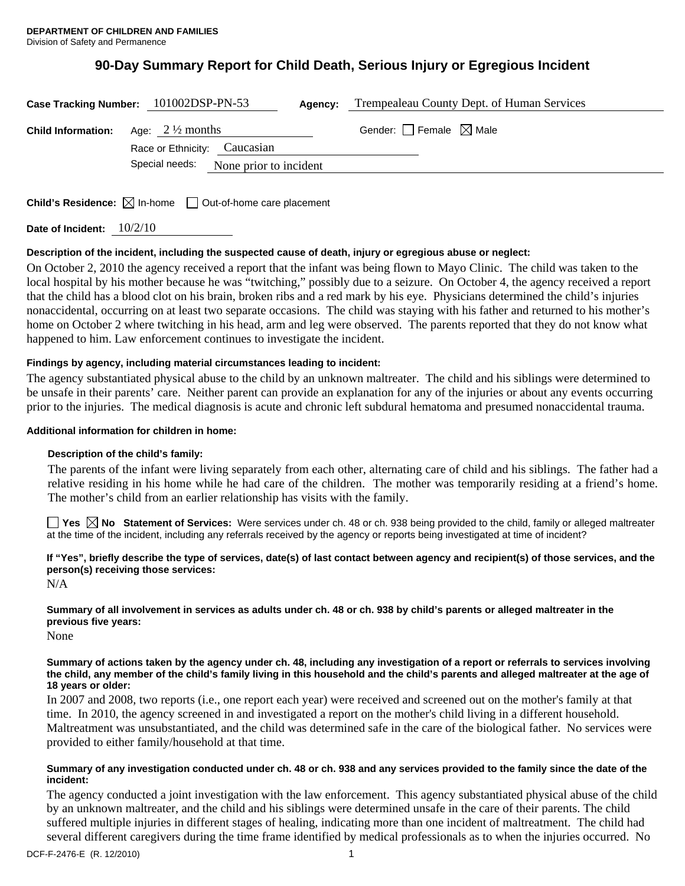# **90-Day Summary Report for Child Death, Serious Injury or Egregious Incident**

| Case Tracking Number: 101002DSP-PN-53<br>Agency:                                     | Trempealeau County Dept. of Human Services |
|--------------------------------------------------------------------------------------|--------------------------------------------|
| <b>Child Information:</b> Age: $2\frac{1}{2}$ months<br>Race or Ethnicity: Caucasian | Gender: $\Box$ Female $\boxtimes$ Male     |
| Special needs:<br>None prior to incident                                             |                                            |
|                                                                                      |                                            |

**Child's Residence:**  $\boxtimes$  In-home  $\Box$  Out-of-home care placement

**Date of Incident:** 10/2/10

# **Description of the incident, including the suspected cause of death, injury or egregious abuse or neglect:**

On October 2, 2010 the agency received a report that the infant was being flown to Mayo Clinic. The child was taken to the local hospital by his mother because he was "twitching," possibly due to a seizure. On October 4, the agency received a report that the child has a blood clot on his brain, broken ribs and a red mark by his eye. Physicians determined the child's injuries nonaccidental, occurring on at least two separate occasions. The child was staying with his father and returned to his mother's home on October 2 where twitching in his head, arm and leg were observed. The parents reported that they do not know what happened to him. Law enforcement continues to investigate the incident.

# **Findings by agency, including material circumstances leading to incident:**

The agency substantiated physical abuse to the child by an unknown maltreater. The child and his siblings were determined to be unsafe in their parents' care. Neither parent can provide an explanation for any of the injuries or about any events occurring prior to the injuries. The medical diagnosis is acute and chronic left subdural hematoma and presumed nonaccidental trauma.

# **Additional information for children in home:**

# **Description of the child's family:**

 The parents of the infant were living separately from each other, alternating care of child and his siblings. The father had a relative residing in his home while he had care of the children. The mother was temporarily residing at a friend's home. The mother's child from an earlier relationship has visits with the family.

■ Yes **No** Statement of Services: Were services under ch. 48 or ch. 938 being provided to the child, family or alleged maltreater at the time of the incident, including any referrals received by the agency or reports being investigated at time of incident?

**If "Yes", briefly describe the type of services, date(s) of last contact between agency and recipient(s) of those services, and the person(s) receiving those services:** 

N/A

# **Summary of all involvement in services as adults under ch. 48 or ch. 938 by child's parents or alleged maltreater in the previous five years:**

None

#### **Summary of actions taken by the agency under ch. 48, including any investigation of a report or referrals to services involving the child, any member of the child's family living in this household and the child's parents and alleged maltreater at the age of 18 years or older:**

In 2007 and 2008, two reports (i.e., one report each year) were received and screened out on the mother's family at that time. In 2010, the agency screened in and investigated a report on the mother's child living in a different household. Maltreatment was unsubstantiated, and the child was determined safe in the care of the biological father. No services were provided to either family/household at that time.

#### **Summary of any investigation conducted under ch. 48 or ch. 938 and any services provided to the family since the date of the incident:**

The agency conducted a joint investigation with the law enforcement. This agency substantiated physical abuse of the child by an unknown maltreater, and the child and his siblings were determined unsafe in the care of their parents. The child suffered multiple injuries in different stages of healing, indicating more than one incident of maltreatment. The child had several different caregivers during the time frame identified by medical professionals as to when the injuries occurred. No